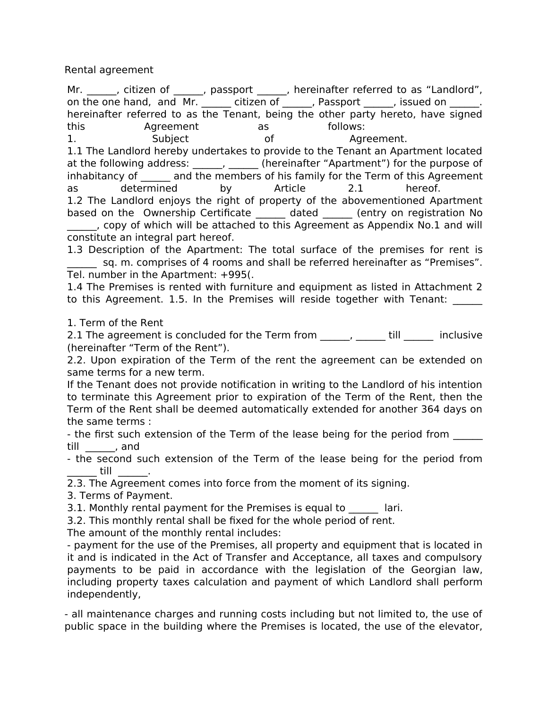Rental agreement

Mr. \_\_\_\_\_\_, citizen of \_\_\_\_\_\_, passport \_\_\_\_\_\_, hereinafter referred to as "Landlord", on the one hand, and Mr. citizen of figures as passport the sissued on the one hand, and Mr. hereinafter referred to as the Tenant, being the other party hereto, have signed this **Agreement** as follows: 1. Subject of Agreement. 1.1 The Landlord hereby undertakes to provide to the Tenant an Apartment located at the following address:  $\frac{1}{2}$ ,  $\frac{1}{2}$  (hereinafter "Apartment") for the purpose of inhabitancy of and the members of his family for the Term of this Agreement as determined by Article 2.1 hereof. 1.2 The Landlord enjoys the right of property of the abovementioned Apartment based on the Ownership Certificate dated (entry on registration No \_\_\_\_\_\_, copy of which will be attached to this Agreement as Appendix No.1 and will constitute an integral part hereof.

1.3 Description of the Apartment: The total surface of the premises for rent is sq. m. comprises of 4 rooms and shall be referred hereinafter as "Premises". Tel. number in the Apartment: +995(.

1.4 The Premises is rented with furniture and equipment as listed in Attachment 2 to this Agreement. 1.5. In the Premises will reside together with Tenant:

1. Term of the Rent

2.1 The agreement is concluded for the Term from \_\_\_\_\_\_, \_\_\_\_\_\_ till \_\_\_\_\_\_ inclusive (hereinafter "Term of the Rent").

2.2. Upon expiration of the Term of the rent the agreement can be extended on same terms for a new term.

If the Tenant does not provide notification in writing to the Landlord of his intention to terminate this Agreement prior to expiration of the Term of the Rent, then the Term of the Rent shall be deemed automatically extended for another 364 days on the same terms :

- the first such extension of the Term of the lease being for the period from till \_\_\_\_\_\_, and

- the second such extension of the Term of the lease being for the period from \_\_\_\_\_\_ till \_\_\_\_\_\_.

2.3. The Agreement comes into force from the moment of its signing.

3. Terms of Payment.

3.1. Monthly rental payment for the Premises is equal to lari.

3.2. This monthly rental shall be fixed for the whole period of rent.

The amount of the monthly rental includes:

- payment for the use of the Premises, all property and equipment that is located in it and is indicated in the Act of Transfer and Acceptance, all taxes and compulsory payments to be paid in accordance with the legislation of the Georgian law, including property taxes calculation and payment of which Landlord shall perform independently,

- all maintenance charges and running costs including but not limited to, the use of public space in the building where the Premises is located, the use of the elevator,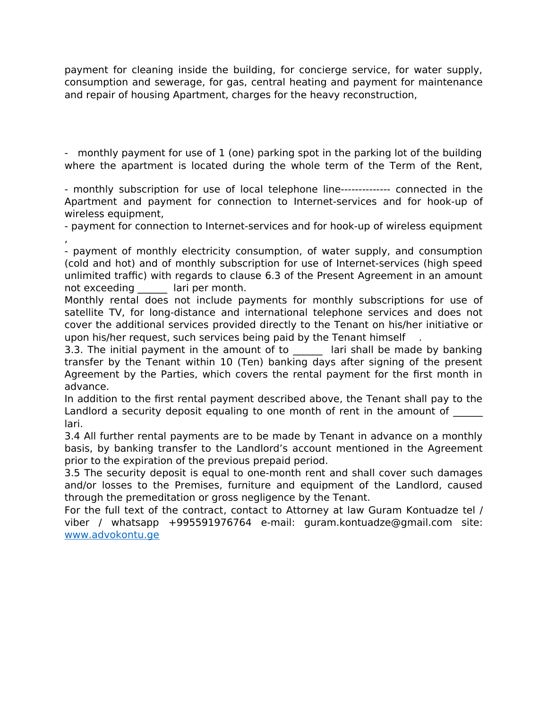payment for cleaning inside the building, for concierge service, for water supply, consumption and sewerage, for gas, central heating and payment for maintenance and repair of housing Apartment, charges for the heavy reconstruction,

- monthly payment for use of 1 (one) parking spot in the parking lot of the building where the apartment is located during the whole term of the Term of the Rent,

- monthly subscription for use of local telephone line-------------- connected in the Apartment and payment for connection to Internet-services and for hook-up of wireless equipment,

- payment for connection to Internet-services and for hook-up of wireless equipment ,

- payment of monthly electricity consumption, of water supply, and consumption (cold and hot) and of monthly subscription for use of Internet-services (high speed unlimited traffic) with regards to clause 6.3 of the Present Agreement in an amount not exceeding a lari per month.

Monthly rental does not include payments for monthly subscriptions for use of satellite TV, for long-distance and international telephone services and does not cover the additional services provided directly to the Tenant on his/her initiative or upon his/her request, such services being paid by the Tenant himself

3.3. The initial payment in the amount of to all ari shall be made by banking transfer by the Tenant within 10 (Ten) banking days after signing of the present Agreement by the Parties, which covers the rental payment for the first month in advance.

In addition to the first rental payment described above, the Tenant shall pay to the Landlord a security deposit equaling to one month of rent in the amount of lari.

3.4 All further rental payments are to be made by Tenant in advance on a monthly basis, by banking transfer to the Landlord's account mentioned in the Agreement prior to the expiration of the previous prepaid period.

3.5 The security deposit is equal to one-month rent and shall cover such damages and/or losses to the Premises, furniture and equipment of the Landlord, caused through the premeditation or gross negligence by the Tenant.

For the full text of the contract, contact to Attorney at law Guram Kontuadze tel / viber / whatsapp +995591976764 e-mail: guram.kontuadze@gmail.com site: [www.advokontu.ge](http://www.advokontu.ge/)